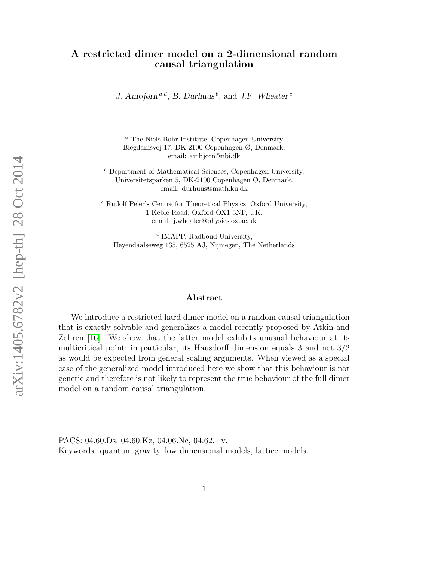#### A restricted dimer model on a 2-dimensional random causal triangulation

J. Ambjørn<sup>a,d</sup>, B. Durhuus<sup>b</sup>, and J.F. Wheater<sup>c</sup>

<sup>a</sup> The Niels Bohr Institute, Copenhagen University Blegdamsvej 17, DK-2100 Copenhagen Ø, Denmark. email: ambjorn@nbi.dk

 $<sup>b</sup>$  Department of Mathematical Sciences, Copenhagen University,</sup> Universitetsparken 5, DK-2100 Copenhagen Ø, Denmark. email: durhuus@math.ku.dk

<sup>c</sup> Rudolf Peierls Centre for Theoretical Physics, Oxford University, 1 Keble Road, Oxford OX1 3NP, UK. email: j.wheater@physics.ox.ac.uk

<sup>d</sup> IMAPP, Radboud University, Heyendaalseweg 135, 6525 AJ, Nijmegen, The Netherlands

#### Abstract

We introduce a restricted hard dimer model on a random causal triangulation that is exactly solvable and generalizes a model recently proposed by Atkin and Zohren [\[16\]](#page-25-0). We show that the latter model exhibits unusual behaviour at its multicritical point; in particular, its Hausdorff dimension equals 3 and not 3/2 as would be expected from general scaling arguments. When viewed as a special case of the generalized model introduced here we show that this behaviour is not generic and therefore is not likely to represent the true behaviour of the full dimer model on a random causal triangulation.

PACS: 04.60.Ds, 04.60.Kz, 04.06.Nc, 04.62.+v. Keywords: quantum gravity, low dimensional models, lattice models.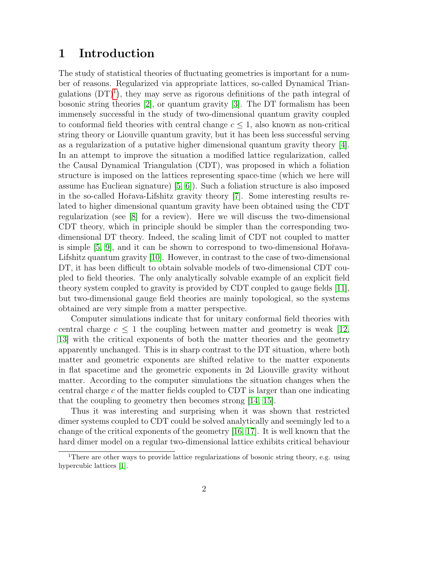### 1 Introduction

The study of statistical theories of fluctuating geometries is important for a number of reasons. Regularized via appropriate lattices, so-called Dynamical Triangulations  $(DT)^1$  $(DT)^1$ , they may serve as rigorous definitions of the path integral of bosonic string theories [\[2\]](#page-24-0), or quantum gravity [\[3\]](#page-24-1). The DT formalism has been immensely successful in the study of two-dimensional quantum gravity coupled to conformal field theories with central change  $c \leq 1$ , also known as non-critical string theory or Liouville quantum gravity, but it has been less successful serving as a regularization of a putative higher dimensional quantum gravity theory [\[4\]](#page-24-2). In an attempt to improve the situation a modified lattice regularization, called the Causal Dynamical Triangulation (CDT), was proposed in which a foliation structure is imposed on the lattices representing space-time (which we here will assume has Eucliean signature) [\[5,](#page-24-3) [6\]](#page-24-4)). Such a foliation structure is also imposed in the so-called Hořava-Lifshitz gravity theory [\[7\]](#page-24-5). Some interesting results related to higher dimensional quantum gravity have been obtained using the CDT regularization (see [\[8\]](#page-24-6) for a review). Here we will discuss the two-dimensional CDT theory, which in principle should be simpler than the corresponding twodimensional DT theory. Indeed, the scaling limit of CDT not coupled to matter is simple  $[5, 9]$  $[5, 9]$ , and it can be shown to correspond to two-dimensional Hořava-Lifshitz quantum gravity [\[10\]](#page-24-8). However, in contrast to the case of two-dimensional DT, it has been difficult to obtain solvable models of two-dimensional CDT coupled to field theories. The only analytically solvable example of an explicit field theory system coupled to gravity is provided by CDT coupled to gauge fields [\[11\]](#page-24-9), but two-dimensional gauge field theories are mainly topological, so the systems obtained are very simple from a matter perspective.

Computer simulations indicate that for unitary conformal field theories with central charge  $c \leq 1$  the coupling between matter and geometry is weak [\[12,](#page-25-1) [13\]](#page-25-2) with the critical exponents of both the matter theories and the geometry apparently unchanged. This is in sharp contrast to the DT situation, where both matter and geometric exponents are shifted relative to the matter exponents in flat spacetime and the geometric exponents in 2d Liouville gravity without matter. According to the computer simulations the situation changes when the central charge c of the matter fields coupled to CDT is larger than one indicating that the coupling to geometry then becomes strong [\[14,](#page-25-3) [15\]](#page-25-4).

Thus it was interesting and surprising when it was shown that restricted dimer systems coupled to CDT could be solved analytically and seemingly led to a change of the critical exponents of the geometry [\[16,](#page-25-0) [17\]](#page-25-5). It is well known that the hard dimer model on a regular two-dimensional lattice exhibits critical behaviour

<span id="page-1-0"></span><sup>&</sup>lt;sup>1</sup>There are other ways to provide lattice regularizations of bosonic string theory, e.g. using hypercubic lattices [\[1\]](#page-24-10).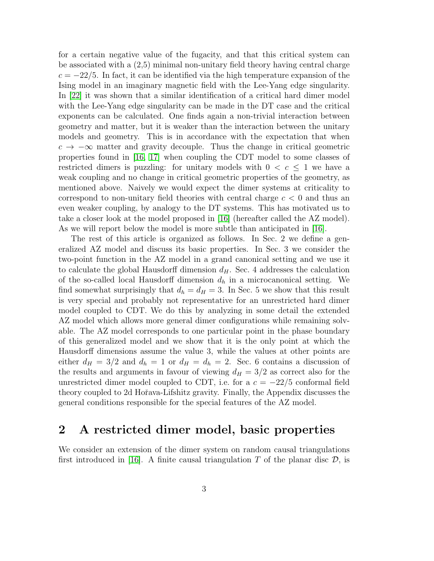for a certain negative value of the fugacity, and that this critical system can be associated with a (2,5) minimal non-unitary field theory having central charge  $c = -22/5$ . In fact, it can be identified via the high temperature expansion of the Ising model in an imaginary magnetic field with the Lee-Yang edge singularity. In [\[22\]](#page-25-6) it was shown that a similar identification of a critical hard dimer model with the Lee-Yang edge singularity can be made in the DT case and the critical exponents can be calculated. One finds again a non-trivial interaction between geometry and matter, but it is weaker than the interaction between the unitary models and geometry. This is in accordance with the expectation that when  $c \to -\infty$  matter and gravity decouple. Thus the change in critical geometric properties found in [\[16,](#page-25-0) [17\]](#page-25-5) when coupling the CDT model to some classes of restricted dimers is puzzling: for unitary models with  $0 < c \leq 1$  we have a weak coupling and no change in critical geometric properties of the geometry, as mentioned above. Naively we would expect the dimer systems at criticality to correspond to non-unitary field theories with central charge  $c < 0$  and thus an even weaker coupling, by analogy to the DT systems. This has motivated us to take a closer look at the model proposed in [\[16\]](#page-25-0) (hereafter called the AZ model). As we will report below the model is more subtle than anticipated in [\[16\]](#page-25-0).

The rest of this article is organized as follows. In Sec. 2 we define a generalized AZ model and discuss its basic properties. In Sec. 3 we consider the two-point function in the AZ model in a grand canonical setting and we use it to calculate the global Hausdorff dimension  $d_H$ . Sec. 4 addresses the calculation of the so-called local Hausdorff dimension  $d_h$  in a microcanonical setting. We find somewhat surprisingly that  $d_h = d_H = 3$ . In Sec. 5 we show that this result is very special and probably not representative for an unrestricted hard dimer model coupled to CDT. We do this by analyzing in some detail the extended AZ model which allows more general dimer configurations while remaining solvable. The AZ model corresponds to one particular point in the phase boundary of this generalized model and we show that it is the only point at which the Hausdorff dimensions assume the value 3, while the values at other points are either  $d_H = 3/2$  and  $d_h = 1$  or  $d_H = d_h = 2$ . Sec. 6 contains a discussion of the results and arguments in favour of viewing  $d_H = 3/2$  as correct also for the unrestricted dimer model coupled to CDT, i.e. for a  $c = -22/5$  conformal field theory coupled to 2d Hoˇrava-Lifshitz gravity. Finally, the Appendix discusses the general conditions responsible for the special features of the AZ model.

### <span id="page-2-0"></span>2 A restricted dimer model, basic properties

We consider an extension of the dimer system on random causal triangulations first introduced in [\[16\]](#page-25-0). A finite causal triangulation T of the planar disc  $\mathcal{D}$ , is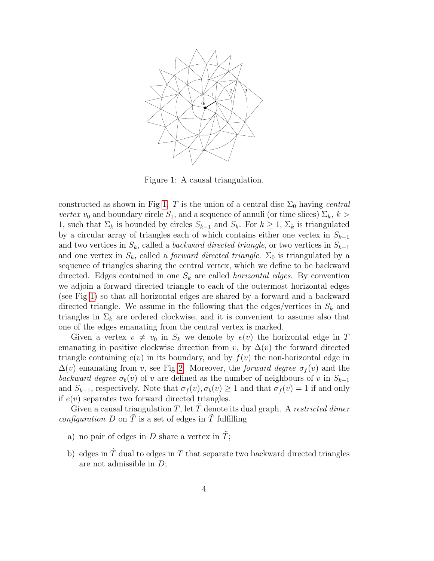

<span id="page-3-0"></span>Figure 1: A causal triangulation.

constructed as shown in Fig [1.](#page-3-0) T is the union of a central disc  $\Sigma_0$  having central vertex  $v_0$  and boundary circle  $S_1$ , and a sequence of annuli (or time slices)  $\Sigma_k$ ,  $k >$ 1, such that  $\Sigma_k$  is bounded by circles  $S_{k-1}$  and  $S_k$ . For  $k \geq 1$ ,  $\Sigma_k$  is triangulated by a circular array of triangles each of which contains either one vertex in  $S_{k-1}$ and two vertices in  $S_k$ , called a backward directed triangle, or two vertices in  $S_{k-1}$ and one vertex in  $S_k$ , called a *forward directed triangle*.  $\Sigma_0$  is triangulated by a sequence of triangles sharing the central vertex, which we define to be backward directed. Edges contained in one  $S_k$  are called *horizontal edges*. By convention we adjoin a forward directed triangle to each of the outermost horizontal edges (see Fig [1\)](#page-3-0) so that all horizontal edges are shared by a forward and a backward directed triangle. We assume in the following that the edges/vertices in  $S_k$  and triangles in  $\Sigma_k$  are ordered clockwise, and it is convenient to assume also that one of the edges emanating from the central vertex is marked.

Given a vertex  $v \neq v_0$  in  $S_k$  we denote by  $e(v)$  the horizontal edge in T emanating in positive clockwise direction from v, by  $\Delta(v)$  the forward directed triangle containing  $e(v)$  in its boundary, and by  $f(v)$  the non-horizontal edge in  $\Delta(v)$  emanating from v, see Fig [2.](#page-4-0) Moreover, the *forward degree*  $\sigma_f(v)$  and the backward degree  $\sigma_b(v)$  of v are defined as the number of neighbours of v in  $S_{k+1}$ and  $S_{k-1}$ , respectively. Note that  $\sigma_f(v), \sigma_b(v) \geq 1$  and that  $\sigma_f(v) = 1$  if and only if  $e(v)$  separates two forward directed triangles.

Given a causal triangulation T, let  $\overline{T}$  denote its dual graph. A restricted dimer *configuration* D on  $\tilde{T}$  is a set of edges in  $\tilde{T}$  fulfilling

- a) no pair of edges in D share a vertex in  $\tilde{T}$ ;
- b) edges in  $\tilde{T}$  dual to edges in T that separate two backward directed triangles are not admissible in D;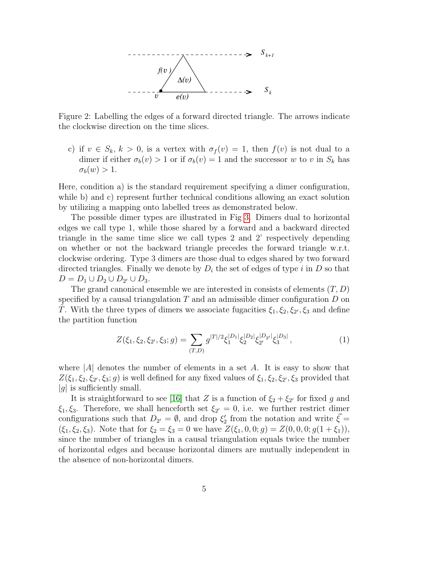

<span id="page-4-0"></span>Figure 2: Labelling the edges of a forward directed triangle. The arrows indicate the clockwise direction on the time slices.

c) if  $v \in S_k$ ,  $k > 0$ , is a vertex with  $\sigma_f(v) = 1$ , then  $f(v)$  is not dual to a dimer if either  $\sigma_b(v) > 1$  or if  $\sigma_b(v) = 1$  and the successor w to v in  $S_k$  has  $\sigma_b(w) > 1.$ 

Here, condition a) is the standard requirement specifying a dimer configuration, while b) and c) represent further technical conditions allowing an exact solution by utilizing a mapping onto labelled trees as demonstrated below.

The possible dimer types are illustrated in Fig [3.](#page-5-0) Dimers dual to horizontal edges we call type 1, while those shared by a forward and a backward directed triangle in the same time slice we call types 2 and 2' respectively depending on whether or not the backward triangle precedes the forward triangle w.r.t. clockwise ordering. Type 3 dimers are those dual to edges shared by two forward directed triangles. Finally we denote by  $D_i$  the set of edges of type i in D so that  $D = D_1 \cup D_2 \cup D_{2'} \cup D_3.$ 

The grand canonical ensemble we are interested in consists of elements  $(T, D)$ specified by a causal triangulation  $T$  and an admissible dimer configuration  $D$  on  $\tilde{T}$ . With the three types of dimers we associate fugacities  $\xi_1, \xi_2, \xi_2, \xi_3$  and define the partition function

$$
Z(\xi_1, \xi_2, \xi_{2'}, \xi_3; g) = \sum_{(T,D)} g^{|T|/2} \xi_1^{|D_1|} \xi_2^{|D_2|} \xi_{2'}^{|D_2|} \xi_3^{|D_3|}, \tag{1}
$$

where  $|A|$  denotes the number of elements in a set A. It is easy to show that  $Z(\xi_1,\xi_2,\xi_2,\xi_3;g)$  is well defined for any fixed values of  $\xi_1,\xi_2,\xi_2,\xi_3$  provided that  $|g|$  is sufficiently small.

It is straightforward to see [\[16\]](#page-25-0) that Z is a function of  $\xi_2 + \xi_2$  for fixed g and  $\xi_1, \xi_3$ . Therefore, we shall henceforth set  $\xi_{2'} = 0$ , i.e. we further restrict dimer configurations such that  $D_{2'} = \emptyset$ , and drop  $\xi_2'$  from the notation and write  $\vec{\xi} =$  $(\xi_1, \xi_2, \xi_3)$ . Note that for  $\xi_2 = \xi_3 = 0$  we have  $Z(\xi_1, 0, 0; g) = Z(0, 0, 0; g(1 + \xi_1)),$ since the number of triangles in a causal triangulation equals twice the number of horizontal edges and because horizontal dimers are mutually independent in the absence of non-horizontal dimers.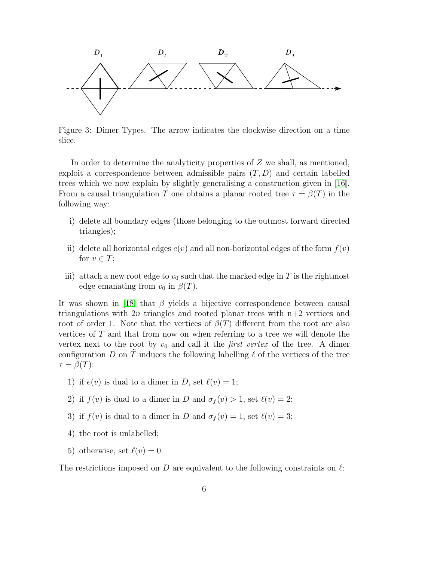

<span id="page-5-0"></span>Figure 3: Dimer Types. The arrow indicates the clockwise direction on a time slice.

In order to determine the analyticity properties of Z we shall, as mentioned, exploit a correspondence between admissible pairs  $(T, D)$  and certain labelled trees which we now explain by slightly generalising a construction given in [\[16\]](#page-25-0). From a causal triangulation T one obtains a planar rooted tree  $\tau = \beta(T)$  in the following way:

- i) delete all boundary edges (those belonging to the outmost forward directed triangles);
- ii) delete all horizontal edges  $e(v)$  and all non-horizontal edges of the form  $f(v)$ for  $v \in T$ ;
- iii) attach a new root edge to  $v_0$  such that the marked edge in T is the rightmost edge emanating from  $v_0$  in  $\beta(T)$ .

It was shown in [\[18\]](#page-25-7) that  $\beta$  yields a bijective correspondence between causal triangulations with  $2n$  triangles and rooted planar trees with  $n+2$  vertices and root of order 1. Note that the vertices of  $\beta(T)$  different from the root are also vertices of  $T$  and that from now on when referring to a tree we will denote the vertex next to the root by  $v_0$  and call it the *first vertex* of the tree. A dimer configuration D on T induces the following labelling  $\ell$  of the vertices of the tree  $\tau = \beta(T)$ :

- 1) if  $e(v)$  is dual to a dimer in D, set  $\ell(v) = 1$ ;
- 2) if  $f(v)$  is dual to a dimer in D and  $\sigma_f(v) > 1$ , set  $\ell(v) = 2$ ;
- 3) if  $f(v)$  is dual to a dimer in D and  $\sigma_f(v) = 1$ , set  $\ell(v) = 3$ ;
- 4) the root is unlabelled;
- 5) otherwise, set  $\ell(v) = 0$ .

The restrictions imposed on D are equivalent to the following constraints on  $\ell$ :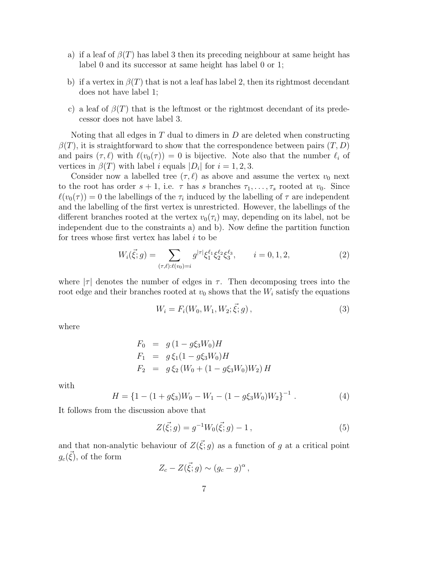- a) if a leaf of  $\beta(T)$  has label 3 then its preceding neighbour at same height has label 0 and its successor at same height has label 0 or 1;
- b) if a vertex in  $\beta(T)$  that is not a leaf has label 2, then its rightmost decendant does not have label 1;
- c) a leaf of  $\beta(T)$  that is the leftmost or the rightmost decendant of its predecessor does not have label 3.

Noting that all edges in  $T$  dual to dimers in  $D$  are deleted when constructing  $\beta(T)$ , it is straightforward to show that the correspondence between pairs  $(T, D)$ and pairs  $(\tau, \ell)$  with  $\ell(v_0(\tau)) = 0$  is bijective. Note also that the number  $\ell_i$  of vertices in  $\beta(T)$  with label *i* equals  $|D_i|$  for  $i = 1, 2, 3$ .

Consider now a labelled tree  $(\tau, \ell)$  as above and assume the vertex  $v_0$  next to the root has order  $s + 1$ , i.e.  $\tau$  has s branches  $\tau_1, \ldots, \tau_s$  rooted at  $v_0$ . Since  $\ell(v_0(\tau)) = 0$  the labellings of the  $\tau_i$  induced by the labelling of  $\tau$  are independent and the labelling of the first vertex is unrestricted. However, the labellings of the different branches rooted at the vertex  $v_0(\tau_i)$  may, depending on its label, not be independent due to the constraints a) and b). Now define the partition function for trees whose first vertex has label  $i$  to be

<span id="page-6-1"></span>
$$
W_i(\vec{\xi};g) = \sum_{(\tau,\ell):\ell(v_0)=i} g^{|\tau|} \xi_1^{\ell_1} \xi_2^{\ell_2} \xi_3^{\ell_3}, \qquad i = 0, 1, 2,
$$
\n(2)

where  $|\tau|$  denotes the number of edges in  $\tau$ . Then decomposing trees into the root edge and their branches rooted at  $v_0$  shows that the  $W_i$  satisfy the equations

<span id="page-6-0"></span>
$$
W_i = F_i(W_0, W_1, W_2; \vec{\xi}; g), \qquad (3)
$$

where

$$
F_0 = g (1 - g\xi_3 W_0) H
$$
  
\n
$$
F_1 = g \xi_1 (1 - g\xi_3 W_0) H
$$
  
\n
$$
F_2 = g \xi_2 (W_0 + (1 - g\xi_3 W_0) W_2) H
$$

with

$$
H = \{1 - (1 + g\xi_3)W_0 - W_1 - (1 - g\xi_3W_0)W_2\}^{-1}.
$$
 (4)

It follows from the discussion above that

$$
Z(\vec{\xi};g) = g^{-1}W_0(\vec{\xi};g) - 1, \qquad (5)
$$

and that non-analytic behaviour of  $Z(\vec{\xi};g)$  as a function of g at a critical point  $g_c(\vec{\xi})$ , of the form

$$
Z_c-Z(\vec{\xi};g)\sim (g_c-g)^\alpha\,,
$$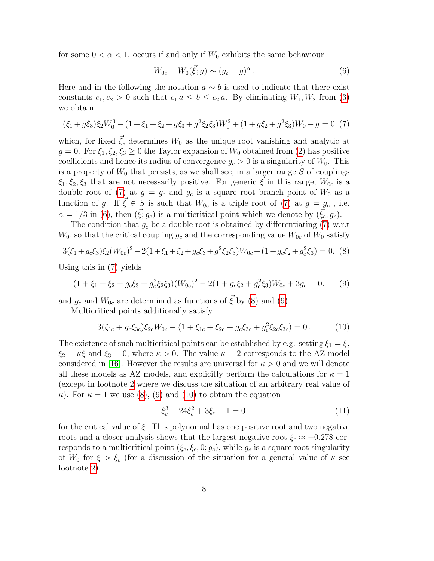for some  $0 < \alpha < 1$ , occurs if and only if  $W_0$  exhibits the same behaviour

<span id="page-7-1"></span>
$$
W_{0c} - W_0(\vec{\xi};g) \sim (g_c - g)^\alpha. \tag{6}
$$

Here and in the following the notation  $a \sim b$  is used to indicate that there exist constants  $c_1, c_2 > 0$  such that  $c_1 a \leq b \leq c_2 a$ . By eliminating  $W_1, W_2$  from [\(3\)](#page-6-0) we obtain

<span id="page-7-0"></span>
$$
(\xi_1 + g\xi_3)\xi_2 W_0^3 - (1 + \xi_1 + \xi_2 + g\xi_3 + g^2\xi_2\xi_3)W_0^2 + (1 + g\xi_2 + g^2\xi_3)W_0 - g = 0
$$
 (7)

which, for fixed  $\vec{\xi}$ , determines  $W_0$  as the unique root vanishing and analytic at  $g = 0$ . For  $\xi_1, \xi_2, \xi_3 \geq 0$  the Taylor expansion of  $W_0$  obtained from [\(2\)](#page-6-1) has positive coefficients and hence its radius of convergence  $g_c > 0$  is a singularity of  $W_0$ . This is a property of  $W_0$  that persists, as we shall see, in a larger range  $S$  of couplings  $\xi_1, \xi_2, \xi_3$  that are not necessarily positive. For generic  $\xi$  in this range,  $W_{0c}$  is a double root of [\(7\)](#page-7-0) at  $g = g_c$  and  $g_c$  is a square root branch point of  $W_0$  as a function of g. If  $\vec{\xi} \in S$  is such that  $W_{0c}$  is a triple root of [\(7\)](#page-7-0) at  $g = g_c$ , i.e.  $\alpha = 1/3$  in [\(6\)](#page-7-1), then  $({\xi}; g_c)$  is a multicritical point which we denote by  $({\xi_c}; g_c)$ .

The condition that  $g_c$  be a double root is obtained by differentiating [\(7\)](#page-7-0) w.r.t  $W_0$ , so that the critical coupling  $g_c$  and the corresponding value  $W_{0c}$  of  $W_0$  satisfy

<span id="page-7-2"></span>
$$
3(\xi_1 + g_c \xi_3)\xi_2(W_{0c})^2 - 2(1 + \xi_1 + \xi_2 + g_c \xi_3 + g^2 \xi_2 \xi_3)W_{0c} + (1 + g_c \xi_2 + g_c^2 \xi_3) = 0.
$$
 (8)

Using this in [\(7\)](#page-7-0) yields

<span id="page-7-3"></span>
$$
(1 + \xi_1 + \xi_2 + g_c \xi_3 + g_c^2 \xi_2 \xi_3)(W_{0c})^2 - 2(1 + g_c \xi_2 + g_c^2 \xi_3)W_{0c} + 3g_c = 0.
$$
 (9)

and  $g_c$  and  $W_{0c}$  are determined as functions of  $\overline{\xi}$  by [\(8\)](#page-7-2) and [\(9\)](#page-7-3).

Multicritical points additionally satisfy

<span id="page-7-4"></span>
$$
3(\xi_{1c} + g_c \xi_{3c})\xi_{2c}W_{0c} - (1 + \xi_{1c} + \xi_{2c} + g_c \xi_{3c} + g_c^2 \xi_{2c} \xi_{3c}) = 0.
$$
 (10)

The existence of such multicritical points can be established by e.g. setting  $\xi_1 = \xi$ ,  $\xi_2 = \kappa \xi$  and  $\xi_3 = 0$ , where  $\kappa > 0$ . The value  $\kappa = 2$  corresponds to the AZ model considered in [\[16\]](#page-25-0). However the results are universal for  $\kappa > 0$  and we will denote all these models as AZ models, and explicitly perform the calculations for  $\kappa = 1$ (except in footnote [2](#page-10-0) where we discuss the situation of an arbitrary real value of  $\kappa$ ). For  $\kappa = 1$  we use [\(8\)](#page-7-2), [\(9\)](#page-7-3) and [\(10\)](#page-7-4) to obtain the equation

<span id="page-7-5"></span>
$$
\xi_c^3 + 24\xi_c^2 + 3\xi_c - 1 = 0\tag{11}
$$

for the critical value of  $\xi$ . This polynomial has one positive root and two negative roots and a closer analysis shows that the largest negative root  $\xi_c \approx -0.278$  corresponds to a multicritical point  $(\xi_c, \xi_c, 0; g_c)$ , while  $g_c$  is a square root singularity of  $W_0$  for  $\xi > \xi_c$  (for a discussion of the situation for a general value of  $\kappa$  see footnote [2\)](#page-10-0).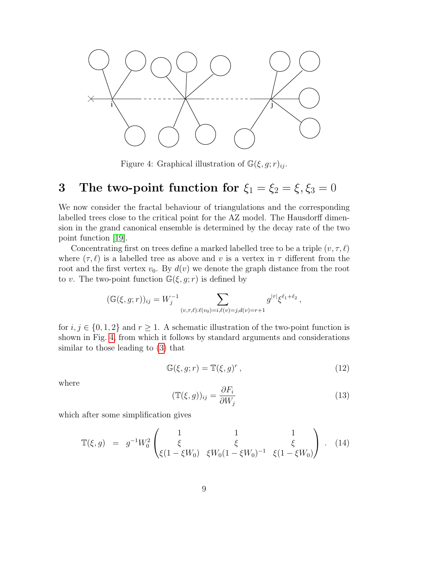

<span id="page-8-0"></span>Figure 4: Graphical illustration of  $\mathbb{G}(\xi, g; r)_{ii}$ .

# <span id="page-8-2"></span>3 The two-point function for  $\xi_1 = \xi_2 = \xi, \xi_3 = 0$

We now consider the fractal behaviour of triangulations and the corresponding labelled trees close to the critical point for the AZ model. The Hausdorff dimension in the grand canonical ensemble is determined by the decay rate of the two point function [\[19\]](#page-25-8).

Concentrating first on trees define a marked labelled tree to be a triple  $(v, \tau, \ell)$ where  $(\tau, \ell)$  is a labelled tree as above and v is a vertex in  $\tau$  different from the root and the first vertex  $v_0$ . By  $d(v)$  we denote the graph distance from the root to v. The two-point function  $\mathbb{G}(\xi, g; r)$  is defined by

$$
(\mathbb{G}(\xi, g; r))_{ij} = W_j^{-1} \sum_{(v, \tau, \ell): \ell(v_0) = i, \ell(v) = j, d(v) = r+1} g^{|\tau|} \xi^{\ell_1 + \ell_2},
$$

for  $i, j \in \{0, 1, 2\}$  and  $r \geq 1$ . A schematic illustration of the two-point function is shown in Fig. [4,](#page-8-0) from which it follows by standard arguments and considerations similar to those leading to [\(3\)](#page-6-0) that

$$
\mathbb{G}(\xi, g; r) = \mathbb{T}(\xi, g)^r, \qquad (12)
$$

where

$$
(\mathbb{T}(\xi, g))_{ij} = \frac{\partial F_i}{\partial W_j} \tag{13}
$$

which after some simplification gives

<span id="page-8-1"></span>
$$
\mathbb{T}(\xi, g) = g^{-1} W_0^2 \begin{pmatrix} 1 & 1 & 1 \\ \xi & \xi & \xi \\ \xi (1 - \xi W_0) & \xi W_0 (1 - \xi W_0)^{-1} & \xi (1 - \xi W_0) \end{pmatrix} . \tag{14}
$$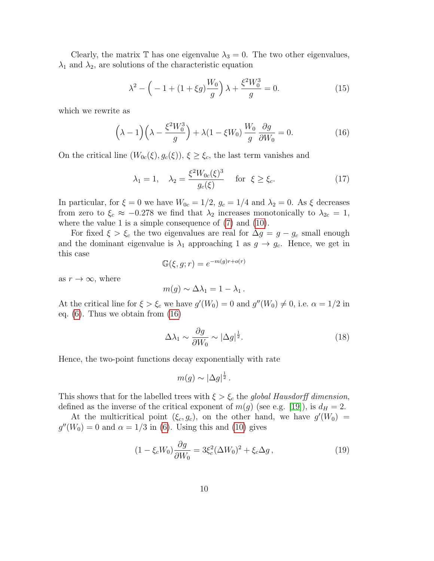Clearly, the matrix  $\mathbb T$  has one eigenvalue  $\lambda_3 = 0$ . The two other eigenvalues,  $\lambda_1$  and  $\lambda_2$ , are solutions of the characteristic equation

$$
\lambda^{2} - \left( -1 + (1 + \xi g) \frac{W_{0}}{g} \right) \lambda + \frac{\xi^{2} W_{0}^{3}}{g} = 0.
$$
 (15)

which we rewrite as

<span id="page-9-0"></span>
$$
\left(\lambda - 1\right)\left(\lambda - \frac{\xi^2 W_0^3}{g}\right) + \lambda \left(1 - \xi W_0\right) \frac{W_0}{g} \frac{\partial g}{\partial W_0} = 0. \tag{16}
$$

On the critical line  $(W_{0c}(\xi), g_c(\xi))$ ,  $\xi \geq \xi_c$ , the last term vanishes and

$$
\lambda_1 = 1, \quad \lambda_2 = \frac{\xi^2 W_{0c}(\xi)^3}{g_c(\xi)} \quad \text{for } \xi \ge \xi_c. \tag{17}
$$

In particular, for  $\xi = 0$  we have  $W_{0c} = 1/2$ ,  $g_c = 1/4$  and  $\lambda_2 = 0$ . As  $\xi$  decreases from zero to  $\xi_c \approx -0.278$  we find that  $\lambda_2$  increases monotonically to  $\lambda_{2c} = 1$ , where the value 1 is a simple consequence of  $(7)$  and  $(10)$ .

For fixed  $\xi > \xi_c$  the two eigenvalues are real for  $\Delta g = g - g_c$  small enough and the dominant eigenvalue is  $\lambda_1$  approaching 1 as  $g \to g_c$ . Hence, we get in this case

$$
\mathbb{G}(\xi, g; r) = e^{-m(g)r + o(r)}
$$

as  $r \to \infty$ , where

$$
m(g) \sim \Delta \lambda_1 = 1 - \lambda_1.
$$

At the critical line for  $\xi > \xi_c$  we have  $g'(W_0) = 0$  and  $g''(W_0) \neq 0$ , i.e.  $\alpha = 1/2$  in eq.  $(6)$ . Thus we obtain from  $(16)$ 

$$
\Delta\lambda_1 \sim \frac{\partial g}{\partial W_0} \sim |\Delta g|^{\frac{1}{2}}.
$$
\n(18)

Hence, the two-point functions decay exponentially with rate

$$
m(g) \sim |\Delta g|^{\frac{1}{2}}.
$$

This shows that for the labelled trees with  $\xi > \xi_c$  the global Hausdorff dimension, defined as the inverse of the critical exponent of  $m(g)$  (see e.g. [\[19\]](#page-25-8)), is  $d_H = 2$ .

At the multicritical point  $(\xi_c, g_c)$ , on the other hand, we have  $g'(W_0)$  =  $g''(W_0) = 0$  and  $\alpha = 1/3$  in [\(6\)](#page-7-1). Using this and [\(10\)](#page-7-4) gives

$$
(1 - \xi_c W_0) \frac{\partial g}{\partial W_0} = 3\xi_c^2 (\Delta W_0)^2 + \xi_c \Delta g , \qquad (19)
$$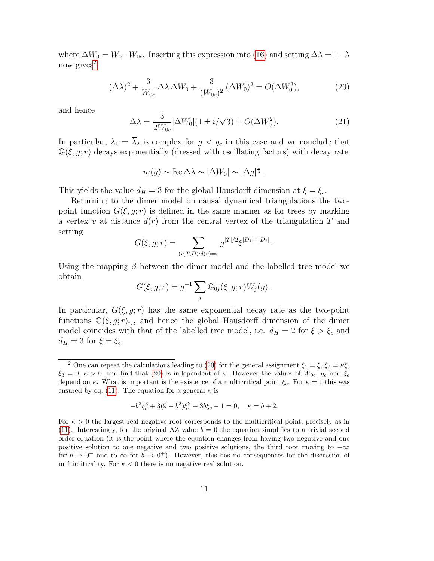where  $\Delta W_0 = W_0 - W_{0c}$ . Inserting this expression into [\(16\)](#page-9-0) and setting  $\Delta \lambda = 1 - \lambda$ now gives<sup>[2](#page-10-0)</sup>

<span id="page-10-1"></span>
$$
(\Delta \lambda)^2 + \frac{3}{W_{0c}} \Delta \lambda \Delta W_0 + \frac{3}{(W_{0c})^2} (\Delta W_0)^2 = O(\Delta W_0^3),\tag{20}
$$

and hence

$$
\Delta\lambda = \frac{3}{2W_{0c}} |\Delta W_0| (1 \pm i/\sqrt{3}) + O(\Delta W_0^2). \tag{21}
$$

In particular,  $\lambda_1 = \overline{\lambda}_2$  is complex for  $g < g_c$  in this case and we conclude that  $\mathbb{G}(\xi, q; r)$  decays exponentially (dressed with oscillating factors) with decay rate

$$
m(g) \sim \text{Re}\,\Delta\lambda \sim |\Delta W_0| \sim |\Delta g|^{\frac{1}{3}}.
$$

This yields the value  $d_H = 3$  for the global Hausdorff dimension at  $\xi = \xi_c$ .

Returning to the dimer model on causal dynamical triangulations the twopoint function  $G(\xi, q; r)$  is defined in the same manner as for trees by marking a vertex v at distance  $d(r)$  from the central vertex of the triangulation T and setting

$$
G(\xi, g; r) = \sum_{(v,T,D):d(v)=r} g^{|T|/2} \xi^{|D_1|+|D_2|}.
$$

Using the mapping  $\beta$  between the dimer model and the labelled tree model we obtain

$$
G(\xi, g; r) = g^{-1} \sum_{j} \mathbb{G}_{0j}(\xi, g; r) W_j(g) .
$$

In particular,  $G(\xi, g; r)$  has the same exponential decay rate as the two-point functions  $\mathbb{G}(\xi, g; r)_{ij}$ , and hence the global Hausdorff dimension of the dimer model coincides with that of the labelled tree model, i.e.  $d_H = 2$  for  $\xi > \xi_c$  and  $d_H = 3$  for  $\xi = \xi_c$ .

$$
-b^3 \xi_c^3 + 3(9 - b^2)\xi_c^2 - 3b\xi_c - 1 = 0, \quad \kappa = b + 2.
$$

<span id="page-10-0"></span><sup>&</sup>lt;sup>2</sup> One can repeat the calculations leading to [\(20\)](#page-10-1) for the general assignment  $\xi_1 = \xi$ ,  $\xi_2 = \kappa \xi$ ,  $\xi_3 = 0, \kappa > 0$ , and find that [\(20\)](#page-10-1) is independent of  $\kappa$ . However the values of  $W_{0c}$ ,  $g_c$  and  $\xi_c$ depend on  $\kappa$ . What is important is the existence of a multicritical point  $\xi_c$ . For  $\kappa = 1$  this was ensured by eq. [\(11\)](#page-7-5). The equation for a general  $\kappa$  is

For  $\kappa > 0$  the largest real negative root corresponds to the multicritical point, precisely as in [\(11\)](#page-7-5). Interestingly, for the original AZ value  $b = 0$  the equation simplifies to a trivial second order equation (it is the point where the equation changes from having two negative and one positive solution to one negative and two positive solutions, the third root moving to  $-\infty$ for  $b \to 0^-$  and to  $\infty$  for  $b \to 0^+$ ). However, this has no consequences for the discussion of multicriticality. For  $\kappa < 0$  there is no negative real solution.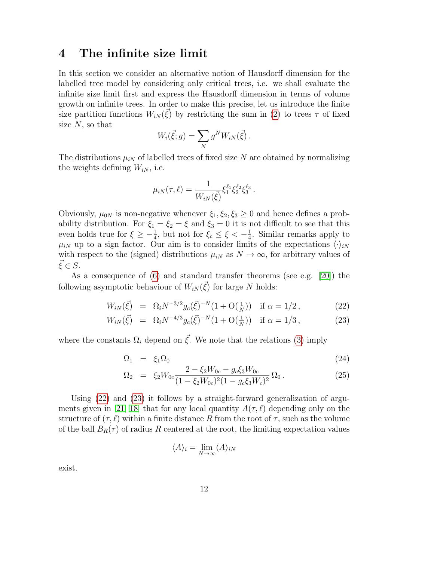#### <span id="page-11-1"></span>4 The infinite size limit

In this section we consider an alternative notion of Hausdorff dimension for the labelled tree model by considering only critical trees, i.e. we shall evaluate the infinite size limit first and express the Hausdorff dimension in terms of volume growth on infinite trees. In order to make this precise, let us introduce the finite size partition functions  $W_{iN}(\vec{\xi})$  by restricting the sum in [\(2\)](#page-6-1) to trees  $\tau$  of fixed size  $N$ , so that

$$
W_i(\vec{\xi};g) = \sum_N g^N W_{iN}(\vec{\xi}) .
$$

The distributions  $\mu_{iN}$  of labelled trees of fixed size N are obtained by normalizing the weights defining  $W_{iN}$ , i.e.

$$
\mu_{iN}(\tau,\ell) = \frac{1}{W_{iN}(\vec{\xi})} \xi_1^{\ell_1} \xi_2^{\ell_2} \xi_3^{\ell_3}.
$$

Obviously,  $\mu_{0N}$  is non-negative whenever  $\xi_1, \xi_2, \xi_3 \geq 0$  and hence defines a probability distribution. For  $\xi_1 = \xi_2 = \xi$  and  $\xi_3 = 0$  it is not difficult to see that this even holds true for  $\xi \geq -\frac{1}{4}$ , but not for  $\xi_c \leq \xi < -\frac{1}{4}$  $\frac{1}{4}$ . Similar remarks apply to  $\mu_{iN}$  up to a sign factor. Our aim is to consider limits of the expectations  $\langle \cdot \rangle_{iN}$ with respect to the (signed) distributions  $\mu_{iN}$  as  $N \to \infty$ , for arbitrary values of  $\xi \in S$ .

As a consequence of [\(6\)](#page-7-1) and standard transfer theorems (see e.g. [\[20\]](#page-25-9)) the following asymptotic behaviour of  $W_{iN}(\vec{\xi})$  for large N holds:

$$
W_{iN}(\vec{\xi}) = \Omega_i N^{-3/2} g_c(\vec{\xi})^{-N} (1 + \mathcal{O}(\frac{1}{N})) \quad \text{if } \alpha = 1/2 \,, \tag{22}
$$

<span id="page-11-0"></span>
$$
W_{iN}(\vec{\xi}) = \Omega_i N^{-4/3} g_c(\vec{\xi})^{-N} (1 + \mathcal{O}(\frac{1}{N})) \quad \text{if } \alpha = 1/3 \,, \tag{23}
$$

where the constants  $\Omega_i$  depend on  $\vec{\xi}$ . We note that the relations [\(3\)](#page-6-0) imply

$$
\Omega_1 = \xi_1 \Omega_0 \tag{24}
$$

$$
\Omega_2 = \xi_2 W_{0c} \frac{2 - \xi_2 W_{0c} - g_c \xi_3 W_{0c}}{(1 - \xi_2 W_{0c})^2 (1 - g_c \xi_3 W_c)^2} \Omega_0.
$$
\n(25)

Using [\(22\)](#page-11-0) and [\(23\)](#page-11-0) it follows by a straight-forward generalization of argu-ments given in [\[21,](#page-25-10) [18\]](#page-25-7) that for any local quantity  $A(\tau, \ell)$  depending only on the structure of  $(\tau, \ell)$  within a finite distance R from the root of  $\tau$ , such as the volume of the ball  $B_R(\tau)$  of radius R centered at the root, the limiting expectation values

$$
\langle A \rangle_i = \lim_{N \to \infty} \langle A \rangle_{iN}
$$

exist.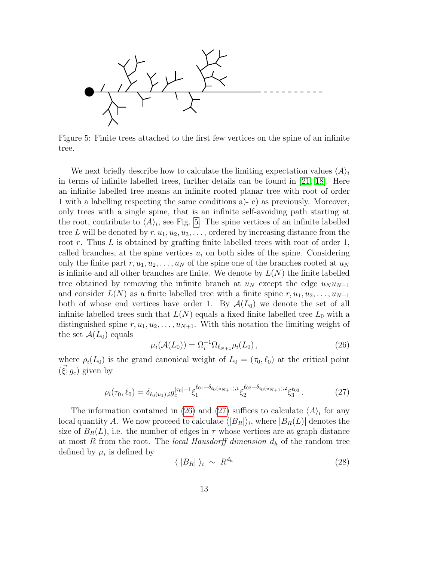

<span id="page-12-0"></span>Figure 5: Finite trees attached to the first few vertices on the spine of an infinite tree.

We next briefly describe how to calculate the limiting expectation values  $\langle A \rangle_i$ in terms of infinite labelled trees, further details can be found in [\[21,](#page-25-10) [18\]](#page-25-7). Here an infinite labelled tree means an infinite rooted planar tree with root of order 1 with a labelling respecting the same conditions a)- c) as previously. Moreover, only trees with a single spine, that is an infinite self-avoiding path starting at the root, contribute to  $\langle A \rangle_i$ , see Fig. [5.](#page-12-0) The spine vertices of an infinite labelled tree L will be denoted by  $r, u_1, u_2, u_3, \ldots$ , ordered by increasing distance from the root  $r$ . Thus  $L$  is obtained by grafting finite labelled trees with root of order 1, called branches, at the spine vertices  $u_i$  on both sides of the spine. Considering only the finite part  $r, u_1, u_2, \ldots, u_N$  of the spine one of the branches rooted at  $u_N$ is infinite and all other branches are finite. We denote by  $L(N)$  the finite labelled tree obtained by removing the infinite branch at  $u_N$  except the edge  $u_N u_{N+1}$ and consider  $L(N)$  as a finite labelled tree with a finite spine  $r, u_1, u_2, \ldots, u_{N+1}$ both of whose end vertices have order 1. By  $\mathcal{A}(L_0)$  we denote the set of all infinite labelled trees such that  $L(N)$  equals a fixed finite labelled tree  $L_0$  with a distinguished spine  $r, u_1, u_2, \ldots, u_{N+1}$ . With this notation the limiting weight of the set  $\mathcal{A}(L_0)$  equals

<span id="page-12-1"></span>
$$
\mu_i(\mathcal{A}(L_0)) = \Omega_i^{-1} \Omega_{\ell_{N+1}} \rho_i(L_0), \qquad (26)
$$

where  $\rho_i(L_0)$  is the grand canonical weight of  $L_0 = (\tau_0, \ell_0)$  at the critical point  $(\vec{\xi}; g_c)$  given by

<span id="page-12-2"></span>
$$
\rho_i(\tau_0, \ell_0) = \delta_{\ell_0(u_1), i} g_c^{|\tau_0| - 1} \xi_1^{\ell_{01} - \delta_{\ell_0(u_{N+1}), 1}} \xi_2^{\ell_{02} - \delta_{\ell_0(u_{N+1}), 2}} \xi_3^{\ell_{03}}.
$$
\n(27)

The information contained in [\(26\)](#page-12-1) and [\(27\)](#page-12-2) suffices to calculate  $\langle A \rangle_i$  for any local quantity A. We now proceed to calculate  $\langle |B_R|\rangle_i$ , where  $|B_R(L)|$  denotes the size of  $B_R(L)$ , i.e. the number of edges in  $\tau$  whose vertices are at graph distance at most R from the root. The local Hausdorff dimension  $d_h$  of the random tree defined by  $\mu_i$  is defined by

$$
\langle |B_R| \rangle_i \sim R^{d_h} \tag{28}
$$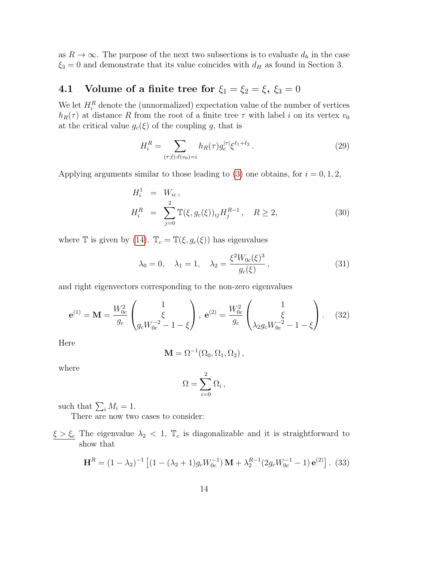as  $R \to \infty$ . The purpose of the next two subsections is to evaluate  $d_h$  in the case  $\xi_3 = 0$  and demonstrate that its value coincides with  $d_H$  as found in Section 3.

#### 4.1 Volume of a finite tree for  $\xi_1 = \xi_2 = \xi$ ,  $\xi_3 = 0$

We let  $H_i^R$  denote the (unnormalized) expectation value of the number of vertices  $h_R(\tau)$  at distance R from the root of a finite tree  $\tau$  with label i on its vertex  $v_0$ at the critical value  $g_c(\xi)$  of the coupling g, that is

$$
H_i^R = \sum_{(\tau,\ell):\ell(v_0)=i} h_R(\tau) g_c^{|\tau|} \xi^{\ell_1+\ell_2} . \tag{29}
$$

Applying arguments similar to those leading to [\(3\)](#page-6-0) one obtains, for  $i = 0, 1, 2$ ,

<span id="page-13-2"></span>
$$
H_i^1 = W_{ic},
$$
  
\n
$$
H_i^R = \sum_{j=0}^2 \mathbb{T}(\xi, g_c(\xi))_{ij} H_j^{R-1}, \quad R \ge 2,
$$
\n(30)

where T is given by [\(14\)](#page-8-1).  $\mathbb{T}_c = \mathbb{T}(\xi, g_c(\xi))$  has eigenvalues

$$
\lambda_0 = 0, \quad \lambda_1 = 1, \quad \lambda_2 = \frac{\xi^2 W_{0c}(\xi)^3}{g_c(\xi)},
$$
\n(31)

and right eigenvectors corresponding to the non-zero eigenvalues

<span id="page-13-0"></span>
$$
\mathbf{e}^{(1)} = \mathbf{M} = \frac{W_{0c}^2}{g_c} \begin{pmatrix} 1 \\ \xi \\ g_c W_{0c}^{-2} - 1 - \xi \end{pmatrix}, \ \mathbf{e}^{(2)} = \frac{W_{0c}^2}{g_c} \begin{pmatrix} 1 \\ \xi \\ \lambda_2 g_c W_{0c}^{-2} - 1 - \xi \end{pmatrix}.
$$
 (32)

Here

$$
\mathbf{M} = \Omega^{-1}(\Omega_0, \Omega_1, \Omega_2),
$$

where

$$
\Omega = \sum_{i=0}^2 \Omega_i \,,
$$

such that  $\sum_i M_i = 1$ .

There are now two cases to consider:

 $\xi > \xi_c$  The eigenvalue  $\lambda_2 < 1$ ,  $\mathbb{T}_c$  is diagonalizable and it is straightforward to show that

<span id="page-13-1"></span>
$$
\mathbf{H}^{R} = (1 - \lambda_{2})^{-1} \left[ (1 - (\lambda_{2} + 1) g_{c} W_{0c}^{-1}) \mathbf{M} + \lambda_{2}^{R-1} (2 g_{c} W_{0c}^{-1} - 1) \mathbf{e}^{(2)} \right].
$$
 (33)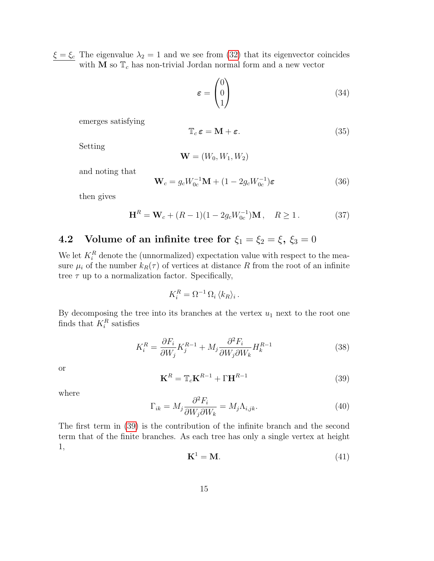$\xi = \xi_c$  The eigenvalue  $\lambda_2 = 1$  and we see from [\(32\)](#page-13-0) that its eigenvector coincides with  $\mathbf M$  so  $\mathbb T_c$  has non-trivial Jordan normal form and a new vector

$$
\varepsilon = \begin{pmatrix} 0 \\ 0 \\ 1 \end{pmatrix} \tag{34}
$$

emerges satisfying

<span id="page-14-2"></span>
$$
\mathbb{T}_c \varepsilon = \mathbf{M} + \varepsilon. \tag{35}
$$

Setting

$$
\mathbf{W} = (W_0, W_1, W_2)
$$

and noting that

$$
\mathbf{W}_c = g_c W_{0c}^{-1} \mathbf{M} + (1 - 2g_c W_{0c}^{-1}) \varepsilon \tag{36}
$$

then gives

<span id="page-14-1"></span>
$$
\mathbf{H}^{R} = \mathbf{W}_{c} + (R - 1)(1 - 2g_{c}W_{0c}^{-1})\mathbf{M}, \quad R \ge 1.
$$
 (37)

## 4.2 Volume of an infinite tree for  $\xi_1 = \xi_2 = \xi$ ,  $\xi_3 = 0$

We let  $K_i^R$  denote the (unnormalized) expectation value with respect to the measure  $\mu_i$  of the number  $k_R(\tau)$  of vertices at distance R from the root of an infinite tree  $\tau$  up to a normalization factor. Specifically,

$$
K_i^R = \Omega^{-1} \Omega_i \langle k_R \rangle_i.
$$

By decomposing the tree into its branches at the vertex  $u_1$  next to the root one finds that  $K_i^R$  satisfies

$$
K_i^R = \frac{\partial F_i}{\partial W_j} K_j^{R-1} + M_j \frac{\partial^2 F_i}{\partial W_j \partial W_k} H_k^{R-1}
$$
\n(38)

or

<span id="page-14-0"></span>
$$
\mathbf{K}^R = \mathbb{T}_c \mathbf{K}^{R-1} + \Gamma \mathbf{H}^{R-1} \tag{39}
$$

where

$$
\Gamma_{ik} = M_j \frac{\partial^2 F_i}{\partial W_j \partial W_k} = M_j \Lambda_{i,jk}.
$$
\n(40)

The first term in [\(39\)](#page-14-0) is the contribution of the infinite branch and the second term that of the finite branches. As each tree has only a single vertex at height 1,

$$
\mathbf{K}^1 = \mathbf{M}.\tag{41}
$$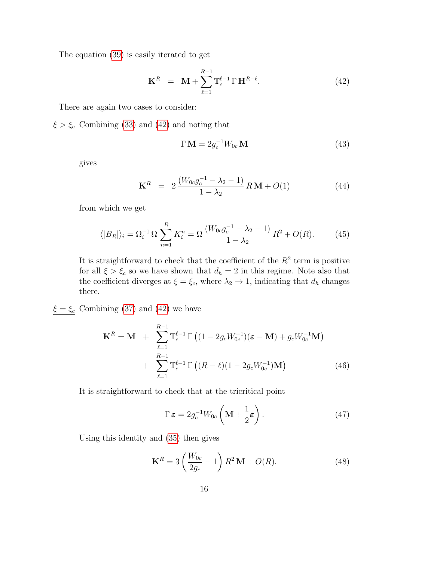The equation [\(39\)](#page-14-0) is easily iterated to get

<span id="page-15-0"></span>
$$
\mathbf{K}^{R} = \mathbf{M} + \sum_{\ell=1}^{R-1} \mathbb{T}_{c}^{\ell-1} \Gamma \mathbf{H}^{R-\ell}.
$$
 (42)

There are again two cases to consider:

 $\xi > \xi_c$  Combining [\(33\)](#page-13-1) and [\(42\)](#page-15-0) and noting that

$$
\Gamma \mathbf{M} = 2g_c^{-1} W_{0c} \mathbf{M} \tag{43}
$$

gives

$$
\mathbf{K}^{R} = 2 \frac{(W_{0c}g_{c}^{-1} - \lambda_{2} - 1)}{1 - \lambda_{2}} R \mathbf{M} + O(1)
$$
(44)

from which we get

$$
\langle |B_R| \rangle_i = \Omega_i^{-1} \Omega \sum_{n=1}^R K_i^n = \Omega \frac{(W_{0c} g_c^{-1} - \lambda_2 - 1)}{1 - \lambda_2} R^2 + O(R). \tag{45}
$$

It is straightforward to check that the coefficient of the  $R^2$  term is positive for all  $\xi > \xi_c$  so we have shown that  $d_h = 2$  in this regime. Note also that the coefficient diverges at  $\xi = \xi_c$ , where  $\lambda_2 \to 1$ , indicating that  $d_h$  changes there.

 $\xi = \xi_c$  Combining [\(37\)](#page-14-1) and [\(42\)](#page-15-0) we have

$$
\mathbf{K}^{R} = \mathbf{M} + \sum_{\ell=1}^{R-1} \mathbb{T}_{c}^{\ell-1} \Gamma \left( (1 - 2g_{c}W_{0c}^{-1})(\boldsymbol{\varepsilon} - \mathbf{M}) + g_{c}W_{0c}^{-1}\mathbf{M} \right) + \sum_{\ell=1}^{R-1} \mathbb{T}_{c}^{\ell-1} \Gamma \left( (R-\ell)(1 - 2g_{c}W_{0c}^{-1})\mathbf{M} \right)
$$
(46)

It is straightforward to check that at the tricritical point

$$
\Gamma \, \varepsilon = 2g_c^{-1} W_{0c} \left( \mathbf{M} + \frac{1}{2} \varepsilon \right). \tag{47}
$$

Using this identity and [\(35\)](#page-14-2) then gives

$$
\mathbf{K}^{R} = 3 \left( \frac{W_{0c}}{2g_c} - 1 \right) R^2 \mathbf{M} + O(R). \tag{48}
$$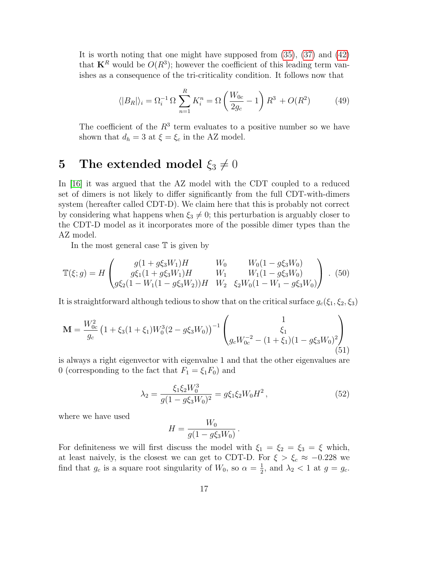It is worth noting that one might have supposed from [\(35\)](#page-14-2), [\(37\)](#page-14-1) and [\(42\)](#page-15-0) that  $\mathbf{K}^R$  would be  $O(R^3)$ ; however the coefficient of this leading term vanishes as a consequence of the tri-criticality condition. It follows now that

$$
\langle |B_R| \rangle_i = \Omega_i^{-1} \Omega \sum_{n=1}^R K_i^n = \Omega \left( \frac{W_{0c}}{2g_c} - 1 \right) R^3 + O(R^2)
$$
 (49)

The coefficient of the  $R<sup>3</sup>$  term evaluates to a positive number so we have shown that  $d_h = 3$  at  $\xi = \xi_c$  in the AZ model.

## 5 The extended model  $\xi_3\neq 0$

In [\[16\]](#page-25-0) it was argued that the AZ model with the CDT coupled to a reduced set of dimers is not likely to differ significantly from the full CDT-with-dimers system (hereafter called CDT-D). We claim here that this is probably not correct by considering what happens when  $\xi_3 \neq 0$ ; this perturbation is arguably closer to the CDT-D model as it incorporates more of the possible dimer types than the AZ model.

In the most general case  $T$  is given by

$$
\mathbb{T}(\xi; g) = H \begin{pmatrix} g(1 + g\xi_3 W_1)H & W_0 & W_0(1 - g\xi_3 W_0) \\ g\xi_1(1 + g\xi_3 W_1)H & W_1 & W_1(1 - g\xi_3 W_0) \\ g\xi_2(1 - W_1(1 - g\xi_3 W_2))H & W_2 & \xi_2 W_0(1 - W_1 - g\xi_3 W_0) \end{pmatrix} .
$$
 (50)

It is straightforward although tedious to show that on the critical surface  $g_c(\xi_1, \xi_2, \xi_3)$ 

$$
\mathbf{M} = \frac{W_{0c}^2}{g_c} \left( 1 + \xi_3 (1 + \xi_1) W_0^3 (2 - g \xi_3 W_0) \right)^{-1} \begin{pmatrix} 1 \\ \xi_1 \\ g_c W_{0c}^{-2} - (1 + \xi_1) (1 - g \xi_3 W_0)^2 \end{pmatrix}
$$
(51)

is always a right eigenvector with eigenvalue 1 and that the other eigenvalues are 0 (corresponding to the fact that  $F_1 = \xi_1 F_0$ ) and

<span id="page-16-0"></span>
$$
\lambda_2 = \frac{\xi_1 \xi_2 W_0^3}{g(1 - g\xi_3 W_0)^2} = g\xi_1 \xi_2 W_0 H^2, \qquad (52)
$$

where we have used

$$
H = \frac{W_0}{g(1 - g\xi_3 W_0)}.
$$

For definiteness we will first discuss the model with  $\xi_1 = \xi_2 = \xi_3 = \xi$  which, at least naively, is the closest we can get to CDT-D. For  $\xi > \xi_c \approx -0.228$  we find that  $g_c$  is a square root singularity of  $W_0$ , so  $\alpha = \frac{1}{2}$  $\frac{1}{2}$ , and  $\lambda_2 < 1$  at  $g = g_c$ .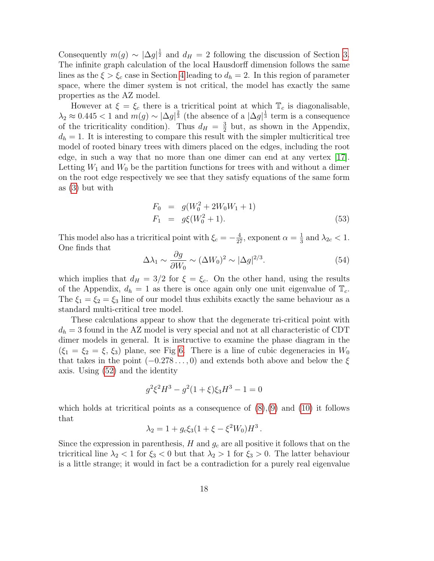Consequently  $m(g) \sim |\Delta g|^{\frac{1}{2}}$  and  $d_H = 2$  following the discussion of Section [3.](#page-8-2) The infinite graph calculation of the local Hausdorff dimension follows the same lines as the  $\xi > \xi_c$  case in Section [4](#page-11-1) leading to  $d_h = 2$ . In this region of parameter space, where the dimer system is not critical, the model has exactly the same properties as the AZ model.

However at  $\xi = \xi_c$  there is a tricritical point at which  $\mathbb{T}_c$  is diagonalisable,  $\lambda_2 \approx 0.445 < 1$  and  $m(g) \sim |\Delta g|^{\frac{2}{3}}$  (the absence of a  $|\Delta g|^{\frac{1}{3}}$  term is a consequence of the tricriticality condition). Thus  $d_H = \frac{3}{2}$  $\frac{3}{2}$  but, as shown in the Appendix,  $d_h = 1$ . It is interesting to compare this result with the simpler multicritical tree model of rooted binary trees with dimers placed on the edges, including the root edge, in such a way that no more than one dimer can end at any vertex [\[17\]](#page-25-5). Letting  $W_1$  and  $W_0$  be the partition functions for trees with and without a dimer on the root edge respectively we see that they satisfy equations of the same form as [\(3\)](#page-6-0) but with

$$
F_0 = g(W_0^2 + 2W_0W_1 + 1)
$$
  
\n
$$
F_1 = g\xi(W_0^2 + 1).
$$
\n(53)

This model also has a tricritical point with  $\xi_c = -\frac{4}{27}$ , exponent  $\alpha = \frac{1}{3}$  $\frac{1}{3}$  and  $\lambda_{2c} < 1$ . One finds that

$$
\Delta \lambda_1 \sim \frac{\partial g}{\partial W_0} \sim (\Delta W_0)^2 \sim |\Delta g|^{2/3}.
$$
\n(54)

which implies that  $d_H = 3/2$  for  $\xi = \xi_c$ . On the other hand, using the results of the Appendix,  $d_h = 1$  as there is once again only one unit eigenvalue of  $\mathbb{T}_c$ . The  $\xi_1 = \xi_2 = \xi_3$  line of our model thus exhibits exactly the same behaviour as a standard multi-critical tree model.

These calculations appear to show that the degenerate tri-critical point with  $d_h = 3$  found in the AZ model is very special and not at all characteristic of CDT dimer models in general. It is instructive to examine the phase diagram in the  $(\xi_1 = \xi_2 = \xi, \xi_3)$  plane, see Fig [6.](#page-18-0) There is a line of cubic degeneracies in  $W_0$ that takes in the point  $(-0.278\dots, 0)$  and extends both above and below the  $\xi$ axis. Using [\(52\)](#page-16-0) and the identity

$$
g^2\xi^2H^3-g^2(1+\xi)\xi_3H^3-1=0
$$

which holds at tricritical points as a consequence of  $(8)(9)$  $(8)(9)$  and  $(10)$  it follows that

$$
\lambda_2 = 1 + g_c \xi_3 (1 + \xi - \xi^2 W_0) H^3.
$$

Since the expression in parenthesis,  $H$  and  $g_c$  are all positive it follows that on the tricritical line  $\lambda_2 < 1$  for  $\xi_3 < 0$  but that  $\lambda_2 > 1$  for  $\xi_3 > 0$ . The latter behaviour is a little strange; it would in fact be a contradiction for a purely real eigenvalue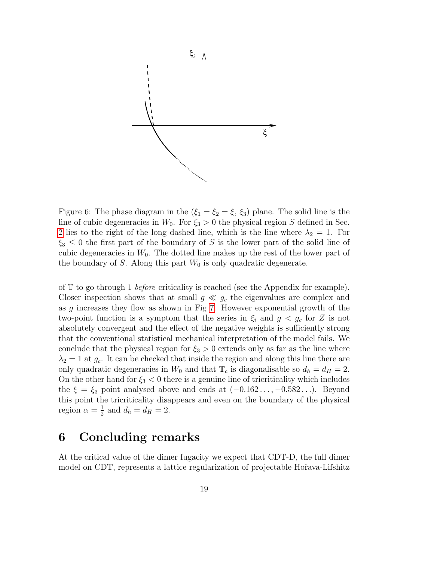

<span id="page-18-0"></span>Figure 6: The phase diagram in the  $(\xi_1 = \xi_2 = \xi, \xi_3)$  plane. The solid line is the line of cubic degeneracies in  $W_0$ . For  $\xi_3 > 0$  the physical region S defined in Sec. [2](#page-2-0) lies to the right of the long dashed line, which is the line where  $\lambda_2 = 1$ . For  $\xi_3 \leq 0$  the first part of the boundary of S is the lower part of the solid line of cubic degeneracies in  $W_0$ . The dotted line makes up the rest of the lower part of the boundary of S. Along this part  $W_0$  is only quadratic degenerate.

of  $\mathbb T$  to go through 1 *before* criticality is reached (see the Appendix for example). Closer inspection shows that at small  $g \ll g_c$  the eigenvalues are complex and as g increases they flow as shown in Fig [7.](#page-19-0) However exponential growth of the two-point function is a symptom that the series in  $\xi_i$  and  $g < g_c$  for Z is not absolutely convergent and the effect of the negative weights is sufficiently strong that the conventional statistical mechanical interpretation of the model fails. We conclude that the physical region for  $\xi_3 > 0$  extends only as far as the line where  $\lambda_2 = 1$  at  $g_c$ . It can be checked that inside the region and along this line there are only quadratic degeneracies in  $W_0$  and that  $\mathbb{T}_c$  is diagonalisable so  $d_h = d_H = 2$ . On the other hand for  $\xi_3 < 0$  there is a genuine line of tricriticality which includes the  $\xi = \xi_3$  point analysed above and ends at  $(-0.162\dots, -0.582\dots)$ . Beyond this point the tricriticality disappears and even on the boundary of the physical region  $\alpha = \frac{1}{2}$  $\frac{1}{2}$  and  $d_h = d_H = 2$ .

### 6 Concluding remarks

At the critical value of the dimer fugacity we expect that CDT-D, the full dimer model on CDT, represents a lattice regularization of projectable Hořava-Lifshitz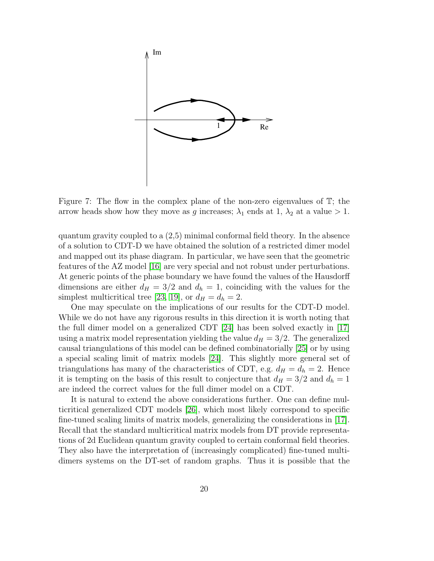

<span id="page-19-0"></span>Figure 7: The flow in the complex plane of the non-zero eigenvalues of  $\mathbb{T}$ ; the arrow heads show how they move as g increases;  $\lambda_1$  ends at 1,  $\lambda_2$  at a value  $> 1$ .

quantum gravity coupled to a (2,5) minimal conformal field theory. In the absence of a solution to CDT-D we have obtained the solution of a restricted dimer model and mapped out its phase diagram. In particular, we have seen that the geometric features of the AZ model [\[16\]](#page-25-0) are very special and not robust under perturbations. At generic points of the phase boundary we have found the values of the Hausdorff dimensions are either  $d_H = 3/2$  and  $d_h = 1$ , coinciding with the values for the simplest multicritical tree [\[23,](#page-25-11) [19\]](#page-25-8), or  $d_H = d_h = 2$ .

One may speculate on the implications of our results for the CDT-D model. While we do not have any rigorous results in this direction it is worth noting that the full dimer model on a generalized CDT [\[24\]](#page-25-12) has been solved exactly in [\[17\]](#page-25-5) using a matrix model representation yielding the value  $d_H = 3/2$ . The generalized causal triangulations of this model can be defined combinatorially [\[25\]](#page-25-13) or by using a special scaling limit of matrix models [\[24\]](#page-25-12). This slightly more general set of triangulations has many of the characteristics of CDT, e.g.  $d_H = d_h = 2$ . Hence it is tempting on the basis of this result to conjecture that  $d_H = 3/2$  and  $d_h = 1$ are indeed the correct values for the full dimer model on a CDT.

It is natural to extend the above considerations further. One can define multicritical generalized CDT models [\[26\]](#page-25-14), which most likely correspond to specific fine-tuned scaling limits of matrix models, generalizing the considerations in [\[17\]](#page-25-5). Recall that the standard multicritical matrix models from DT provide representations of 2d Euclidean quantum gravity coupled to certain conformal field theories. They also have the interpretation of (increasingly complicated) fine-tuned multidimers systems on the DT-set of random graphs. Thus it is possible that the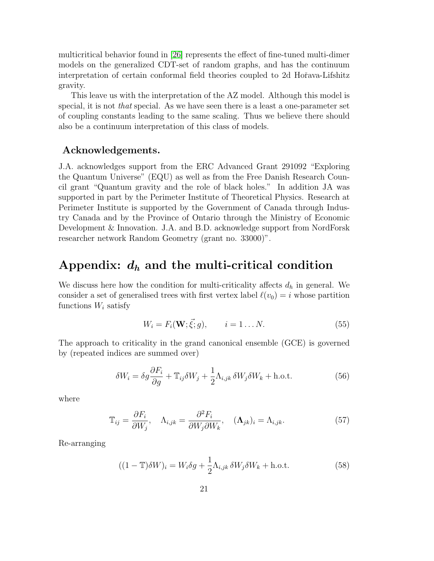multicritical behavior found in [\[26\]](#page-25-14) represents the effect of fine-tuned multi-dimer models on the generalized CDT-set of random graphs, and has the continuum interpretation of certain conformal field theories coupled to 2d Hořava-Lifshitz gravity.

This leave us with the interpretation of the AZ model. Although this model is special, it is not that special. As we have seen there is a least a one-parameter set of coupling constants leading to the same scaling. Thus we believe there should also be a continuum interpretation of this class of models.

#### Acknowledgements.

J.A. acknowledges support from the ERC Advanced Grant 291092 "Exploring the Quantum Universe" (EQU) as well as from the Free Danish Research Council grant "Quantum gravity and the role of black holes." In addition JA was supported in part by the Perimeter Institute of Theoretical Physics. Research at Perimeter Institute is supported by the Government of Canada through Industry Canada and by the Province of Ontario through the Ministry of Economic Development & Innovation. J.A. and B.D. acknowledge support from NordForsk researcher network Random Geometry (grant no. 33000)".

#### Appendix:  $d_h$  and the multi-critical condition

We discuss here how the condition for multi-criticality affects  $d_h$  in general. We consider a set of generalised trees with first vertex label  $\ell(v_0) = i$  whose partition functions  $W_i$  satisfy

$$
W_i = F_i(\mathbf{W}; \vec{\xi}; g), \qquad i = 1 \dots N. \tag{55}
$$

The approach to criticality in the grand canonical ensemble (GCE) is governed by (repeated indices are summed over)

$$
\delta W_i = \delta g \frac{\partial F_i}{\partial g} + \mathbb{T}_{ij} \delta W_j + \frac{1}{2} \Lambda_{i,jk} \delta W_j \delta W_k + \text{h.o.t.}
$$
 (56)

where

$$
\mathbb{T}_{ij} = \frac{\partial F_i}{\partial W_j}, \quad \Lambda_{i,jk} = \frac{\partial^2 F_i}{\partial W_j \partial W_k}, \quad (\mathbf{\Lambda}_{jk})_i = \Lambda_{i,jk}.
$$
 (57)

Re-arranging

<span id="page-20-0"></span>
$$
((1 - \mathbb{T})\delta W)_i = W_i \delta g + \frac{1}{2} \Lambda_{i,jk} \delta W_j \delta W_k + \text{h.o.t.}
$$
\n(58)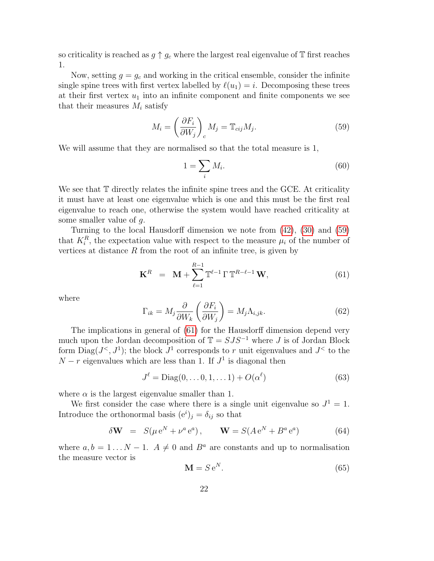so criticality is reached as  $g \uparrow g_c$  where the largest real eigenvalue of T first reaches 1.

Now, setting  $g = g_c$  and working in the critical ensemble, consider the infinite single spine trees with first vertex labelled by  $\ell(u_1) = i$ . Decomposing these trees at their first vertex  $u_1$  into an infinite component and finite components we see that their measures  $M_i$  satisfy

<span id="page-21-0"></span>
$$
M_i = \left(\frac{\partial F_i}{\partial W_j}\right)_c M_j = \mathbb{T}_{cij} M_j. \tag{59}
$$

We will assume that they are normalised so that the total measure is 1,

$$
1 = \sum_{i} M_i. \tag{60}
$$

We see that  $\mathbb T$  directly relates the infinite spine trees and the GCE. At criticality it must have at least one eigenvalue which is one and this must be the first real eigenvalue to reach one, otherwise the system would have reached criticality at some smaller value of g.

Turning to the local Hausdorff dimension we note from [\(42\)](#page-15-0), [\(30\)](#page-13-2) and [\(59\)](#page-21-0) that  $K_i^R$ , the expectation value with respect to the measure  $\mu_i$  of the number of vertices at distance  $R$  from the root of an infinite tree, is given by

<span id="page-21-1"></span>
$$
\mathbf{K}^{R} = \mathbf{M} + \sum_{\ell=1}^{R-1} \mathbb{T}^{\ell-1} \Gamma \mathbb{T}^{R-\ell-1} \mathbf{W},
$$
 (61)

where

$$
\Gamma_{ik} = M_j \frac{\partial}{\partial W_k} \left( \frac{\partial F_i}{\partial W_j} \right) = M_j \Lambda_{i,jk}.
$$
\n(62)

The implications in general of [\(61\)](#page-21-1) for the Hausdorff dimension depend very much upon the Jordan decomposition of  $\mathbb{T} = SJS^{-1}$  where J is of Jordan Block form  $\text{Diag}(J^{\lt}, J^1)$ ; the block  $J^1$  corresponds to r unit eigenvalues and  $J^{\lt}$  to the  $N-r$  eigenvalues which are less than 1. If  $J<sup>1</sup>$  is diagonal then

<span id="page-21-2"></span>
$$
J^{\ell} = \text{Diag}(0, \dots 0, 1, \dots 1) + O(\alpha^{\ell})
$$
\n(63)

where  $\alpha$  is the largest eigenvalue smaller than 1.

We first consider the case where there is a single unit eigenvalue so  $J^1 = 1$ . Introduce the orthonormal basis  $(e^i)_j = \delta_{ij}$  so that

$$
\delta \mathbf{W} = S(\mu e^N + \nu^a e^a), \qquad \mathbf{W} = S(A e^N + B^a e^a)
$$
 (64)

where  $a, b = 1...N - 1$ .  $A \neq 0$  and  $B^a$  are constants and up to normalisation the measure vector is

$$
\mathbf{M} = S \,\mathrm{e}^N. \tag{65}
$$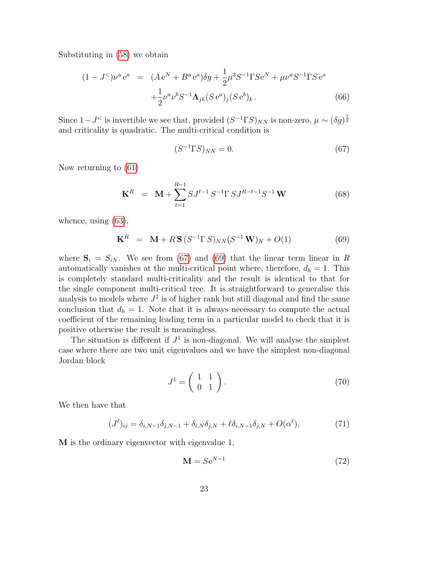Substituting in [\(58\)](#page-20-0) we obtain

$$
(1 - J^<)\nu^a e^a = (A e^N + B^a e^a)\delta g + \frac{1}{2}\mu^2 S^{-1} \Gamma S e^N + \mu \nu^a S^{-1} \Gamma S e^a
$$
  
 
$$
+ \frac{1}{2}\nu^a \nu^b S^{-1} \Lambda_{jk} (S e^a)_j (S e^b)_k . \tag{66}
$$

Since  $1-J^{\le}$  is invertible we see that, provided  $(S^{-1} \Gamma S)_{NN}$  is non-zero,  $\mu \sim (\delta g)^{\frac{1}{2}}$ and criticality is quadratic. The multi-critical condition is

<span id="page-22-0"></span>
$$
(S^{-1}\Gamma S)_{NN} = 0.\t\t(67)
$$

Now returning to [\(61\)](#page-21-1)

$$
\mathbf{K}^{R} = \mathbf{M} + \sum_{\ell=1}^{R-1} S J^{\ell-1} S^{-1} \Gamma S J^{R-\ell-1} S^{-1} \mathbf{W}
$$
 (68)

whence, using [\(63\)](#page-21-2),

<span id="page-22-1"></span>
$$
\mathbf{K}^{R} = \mathbf{M} + R\mathbf{S} (S^{-1} \Gamma S)_{NN} (S^{-1} \mathbf{W})_{N} + O(1)
$$
 (69)

where  $S_i = S_{iN}$ . We see from [\(67\)](#page-22-0) and [\(69\)](#page-22-1) that the linear term linear in R automatically vanishes at the multi-critical point where, therefore,  $d_h = 1$ . This is completely standard multi-criticality and the result is identical to that for the single component multi-critical tree. It is straightforward to generalise this analysis to models where  $J^1$  is of higher rank but still diagonal and find the same conclusion that  $d_h = 1$ . Note that it is always necessary to compute the actual coefficient of the remaining leading term in a particular model to check that it is positive otherwise the result is meaningless.

The situation is different if  $J<sup>1</sup>$  is non-diagonal. We will analyse the simplest case where there are two unit eigenvalues and we have the simplest non-diagonal Jordan block

$$
J^1 = \left(\begin{array}{cc} 1 & 1 \\ 0 & 1 \end{array}\right). \tag{70}
$$

We then have that

<span id="page-22-2"></span>
$$
(J^{\ell})_{ij} = \delta_{i,N-1}\delta_{j,N-1} + \delta_{i,N}\delta_{j,N} + \ell\delta_{i,N-1}\delta_{j,N} + O(\alpha^{\ell}).
$$
\n(71)

M is the ordinary eigenvector with eigenvalue 1,

$$
\mathbf{M} = S e^{N-1} \tag{72}
$$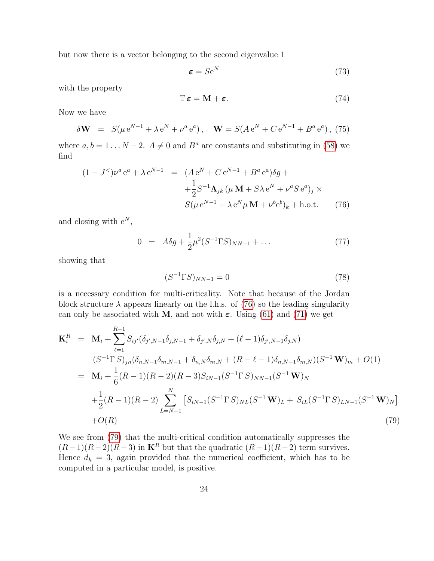but now there is a vector belonging to the second eigenvalue 1

$$
\boldsymbol{\varepsilon} = S \mathbf{e}^N \tag{73}
$$

with the property

$$
\mathbb{T}\,\varepsilon = \mathbf{M} + \varepsilon.\tag{74}
$$

Now we have

$$
\delta \mathbf{W} = S(\mu e^{N-1} + \lambda e^N + \nu^a e^a), \quad \mathbf{W} = S(A e^N + C e^{N-1} + B^a e^a), \tag{75}
$$

where  $a, b = 1...N - 2$ .  $A \neq 0$  and  $B^a$  are constants and substituting in [\(58\)](#page-20-0) we find

<span id="page-23-0"></span>
$$
(1 - J^<)\nu^a e^a + \lambda e^{N-1} = (A e^N + C e^{N-1} + B^a e^a) \delta g +
$$
  

$$
+ \frac{1}{2} S^{-1} \Lambda_{jk} (\mu \mathbf{M} + S \lambda e^N + \nu^a S e^a)_j \times
$$
  

$$
S(\mu e^{N-1} + \lambda e^N \mu \mathbf{M} + \nu^b e^b)_k + \text{h.o.t.}
$$
 (76)

and closing with  $e^N$ ,

$$
0 = A\delta g + \frac{1}{2}\mu^2 (S^{-1} \Gamma S)_{NN-1} + \dots \tag{77}
$$

showing that

$$
(S^{-1}\Gamma S)_{NN-1} = 0\tag{78}
$$

is a necessary condition for multi-criticality. Note that because of the Jordan block structure  $\lambda$  appears linearly on the l.h.s. of [\(76\)](#page-23-0) so the leading singularity can only be associated with M, and not with  $\varepsilon$ . Using [\(61\)](#page-21-1) and [\(71\)](#page-22-2) we get

<span id="page-23-1"></span>
$$
\mathbf{K}_{i}^{R} = \mathbf{M}_{i} + \sum_{\ell=1}^{R-1} S_{ij'} (\delta_{j',N-1} \delta_{j,N-1} + \delta_{j',N} \delta_{j,N} + (\ell - 1) \delta_{j',N-1} \delta_{j,N})
$$
\n
$$
(S^{-1} \Gamma S)_{jn} (\delta_{n,N-1} \delta_{m,N-1} + \delta_{n,N} \delta_{m,N} + (R - \ell - 1) \delta_{n,N-1} \delta_{m,N}) (S^{-1} \mathbf{W})_{m} + O(1)
$$
\n
$$
= \mathbf{M}_{i} + \frac{1}{6} (R - 1)(R - 2)(R - 3) S_{iN-1} (S^{-1} \Gamma S)_{NN-1} (S^{-1} \mathbf{W})_{N}
$$
\n
$$
+ \frac{1}{2} (R - 1)(R - 2) \sum_{L=N-1}^{N} \left[ S_{iN-1} (S^{-1} \Gamma S)_{NL} (S^{-1} \mathbf{W})_{L} + S_{iL} (S^{-1} \Gamma S)_{LN-1} (S^{-1} \mathbf{W})_{N} \right]
$$
\n
$$
+ O(R) \tag{79}
$$

We see from [\(79\)](#page-23-1) that the multi-critical condition automatically suppresses the  $(R-1)(R-2)(R-3)$  in K<sup>R</sup> but that the quadratic  $(R-1)(R-2)$  term survives. Hence  $d_h = 3$ , again provided that the numerical coefficient, which has to be computed in a particular model, is positive.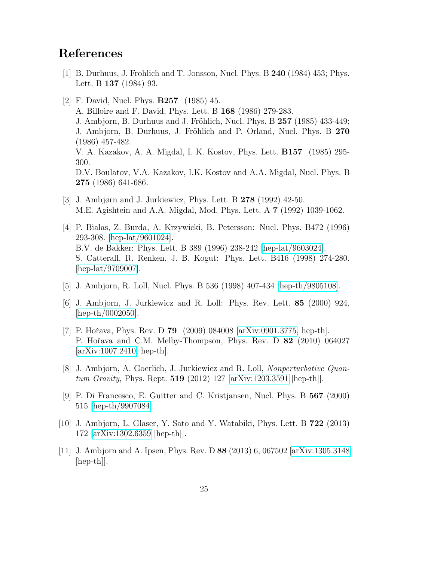# References

- <span id="page-24-10"></span>[1] B. Durhuus, J. Frohlich and T. Jonsson, Nucl. Phys. B 240 (1984) 453; Phys. Lett. B 137 (1984) 93.
- <span id="page-24-0"></span>[2] F. David, Nucl. Phys. B257 (1985) 45. A. Billoire and F. David, Phys. Lett. B 168 (1986) 279-283. J. Ambjorn, B. Durhuus and J. Fröhlich, Nucl. Phys. B 257 (1985) 433-449; J. Ambjorn, B. Durhuus, J. Fröhlich and P. Orland, Nucl. Phys. B 270 (1986) 457-482. V. A. Kazakov, A. A. Migdal, I. K. Kostov, Phys. Lett. B157 (1985) 295- 300. D.V. Boulatov, V.A. Kazakov, I.K. Kostov and A.A. Migdal, Nucl. Phys. B 275 (1986) 641-686.
- <span id="page-24-1"></span>[3] J. Ambjørn and J. Jurkiewicz, Phys. Lett. B 278 (1992) 42-50. M.E. Agishtein and A.A. Migdal, Mod. Phys. Lett. A 7 (1992) 1039-1062.
- <span id="page-24-2"></span>[4] P. Bialas, Z. Burda, A. Krzywicki, B. Petersson: Nucl. Phys. B472 (1996) 293-308. [\[hep-lat/9601024\]](http://arxiv.org/abs/hep-lat/9601024). B.V. de Bakker: Phys. Lett. B 389 (1996) 238-242 [\[hep-lat/9603024\]](http://arxiv.org/abs/hep-lat/9603024). S. Catterall, R. Renken, J. B. Kogut: Phys. Lett. B416 (1998) 274-280. [\[hep-lat/9709007\]](http://arxiv.org/abs/hep-lat/9709007).
- <span id="page-24-3"></span>[5] J. Ambjorn, R. Loll, Nucl. Phys. B 536 (1998) 407-434 [\[hep-th/9805108\]](http://arxiv.org/abs/hep-th/9805108).
- <span id="page-24-4"></span>[6] J. Ambjorn, J. Jurkiewicz and R. Loll: Phys. Rev. Lett. 85 (2000) 924, [\[hep-th/0002050\]](http://arxiv.org/abs/hep-th/0002050).
- <span id="page-24-5"></span>[7] P. Hořava, Phys. Rev. D **79** (2009) 084008 [\[arXiv:0901.3775,](http://arxiv.org/abs/0901.3775) hep-th]. P. Hořava and C.M. Melby-Thompson, Phys. Rev. D 82 (2010) 064027 [\[arXiv:1007.2410,](http://arxiv.org/abs/1007.2410) hep-th].
- <span id="page-24-6"></span>[8] J. Ambjorn, A. Goerlich, J. Jurkiewicz and R. Loll, Nonperturbative Quantum Gravity, Phys. Rept. 519 (2012) 127 [\[arXiv:1203.3591](http://arxiv.org/abs/1203.3591) [hep-th]].
- <span id="page-24-7"></span>[9] P. Di Francesco, E. Guitter and C. Kristjansen, Nucl. Phys. B 567 (2000) 515 [\[hep-th/9907084\]](http://arxiv.org/abs/hep-th/9907084).
- <span id="page-24-8"></span>[10] J. Ambjorn, L. Glaser, Y. Sato and Y. Watabiki, Phys. Lett. B 722 (2013) 172 [\[arXiv:1302.6359](http://arxiv.org/abs/1302.6359) [hep-th]].
- <span id="page-24-9"></span>[11] J. Ambjorn and A. Ipsen, Phys. Rev. D 88 (2013) 6, 067502 [\[arXiv:1305.3148](http://arxiv.org/abs/1305.3148) [hep-th]].